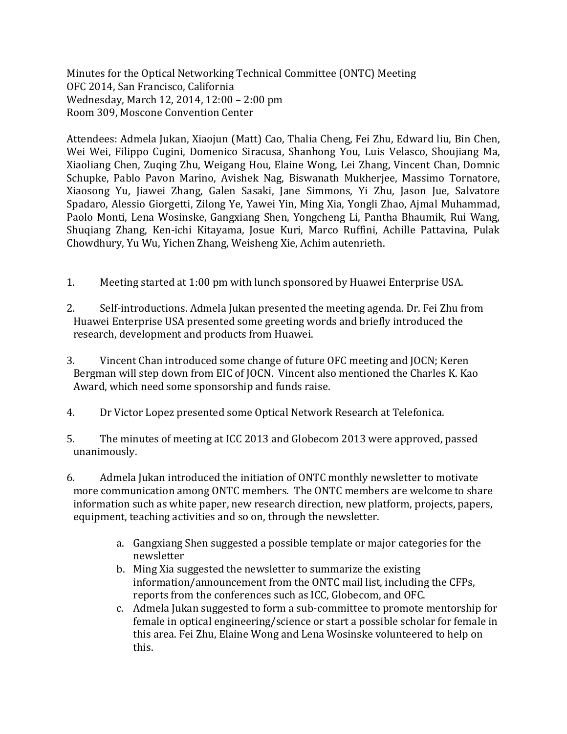Minutes for the Optical Networking Technical Committee (ONTC) Meeting OFC 2014, San Francisco, California Wednesday, March 12, 2014, 12:00 – 2:00 pm Room 309, Moscone Convention Center

Attendees: Admela Jukan, Xiaojun (Matt) Cao, Thalia Cheng, Fei Zhu, Edward liu, Bin Chen, Wei Wei, Filippo Cugini, Domenico Siracusa, Shanhong You, Luis Velasco, Shoujiang Ma, Xiaoliang Chen, Zuqing Zhu, Weigang Hou, Elaine Wong, Lei Zhang, Vincent Chan, Domnic Schupke, Pablo Pavon Marino, Avishek Nag, Biswanath Mukherjee, Massimo Tornatore, Xiaosong Yu, Jiawei Zhang, Galen Sasaki, Jane Simmons, Yi Zhu, Jason Jue, Salvatore Spadaro, Alessio Giorgetti, Zilong Ye, Yawei Yin, Ming Xia, Yongli Zhao, Ajmal Muhammad, Paolo Monti, Lena Wosinske, Gangxiang Shen, Yongcheng Li, Pantha Bhaumik, Rui Wang, Shuqiang Zhang, Ken-ichi Kitayama, Josue Kuri, Marco Ruffini, Achille Pattavina, Pulak Chowdhury, Yu Wu, Yichen Zhang, Weisheng Xie, Achim autenrieth.

- 1. Meeting started at 1:00 pm with lunch sponsored by Huawei Enterprise USA.
- 2. Self-introductions. Admela Jukan presented the meeting agenda. Dr. Fei Zhu from Huawei Enterprise USA presented some greeting words and briefly introduced the research, development and products from Huawei.
- 3. Vincent Chan introduced some change of future OFC meeting and JOCN; Keren Bergman will step down from EIC of JOCN. Vincent also mentioned the Charles K. Kao Award, which need some sponsorship and funds raise.
- 4. Dr Victor Lopez presented some Optical Network Research at Telefonica.
- 5. The minutes of meeting at ICC 2013 and Globecom 2013 were approved, passed unanimously.
- 6. Admela Jukan introduced the initiation of ONTC monthly newsletter to motivate more communication among ONTC members. The ONTC members are welcome to share information such as white paper, new research direction, new platform, projects, papers, equipment, teaching activities and so on, through the newsletter.
	- a. Gangxiang Shen suggested a possible template or major categories for the newsletter
	- b. Ming Xia suggested the newsletter to summarize the existing information/announcement from the ONTC mail list, including the CFPs, reports from the conferences such as ICC, Globecom, and OFC.
	- c. Admela Jukan suggested to form a sub-committee to promote mentorship for female in optical engineering/science or start a possible scholar for female in this area. Fei Zhu, Elaine Wong and Lena Wosinske volunteered to help on this.